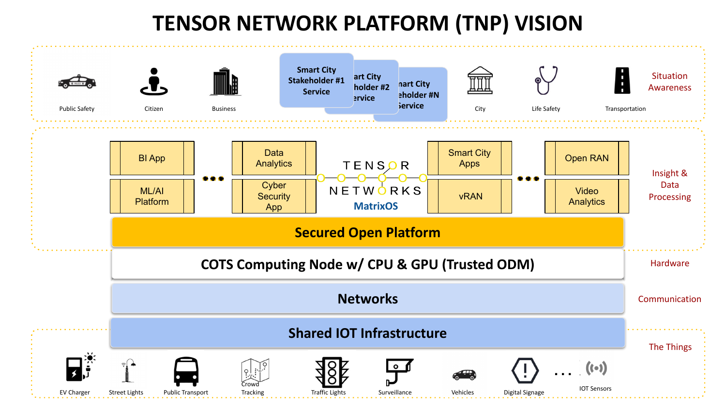## **TENSOR NETWORK PLATFORM (TNP) VISION**

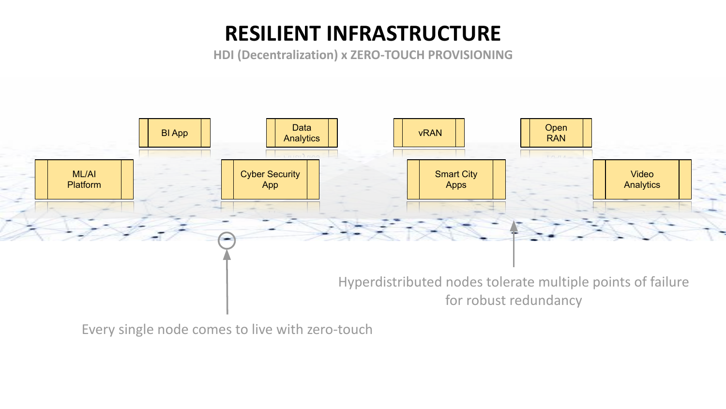## **RESILIENT INFRASTRUCTURE**

**HDI (Decentralization) x ZERO-TOUCH PROVISIONING**



Every single node comes to live with zero-touch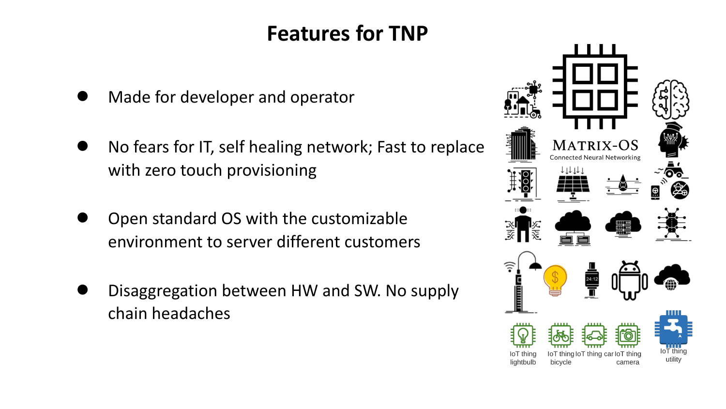## **Features for TNP**

- Made for developer and operator
- **●** No fears for IT, self healing network; Fast to replace with zero touch provisioning
- Open standard OS with the customizable environment to server different customers
- **●** Disaggregation between HW and SW. No supply chain headaches